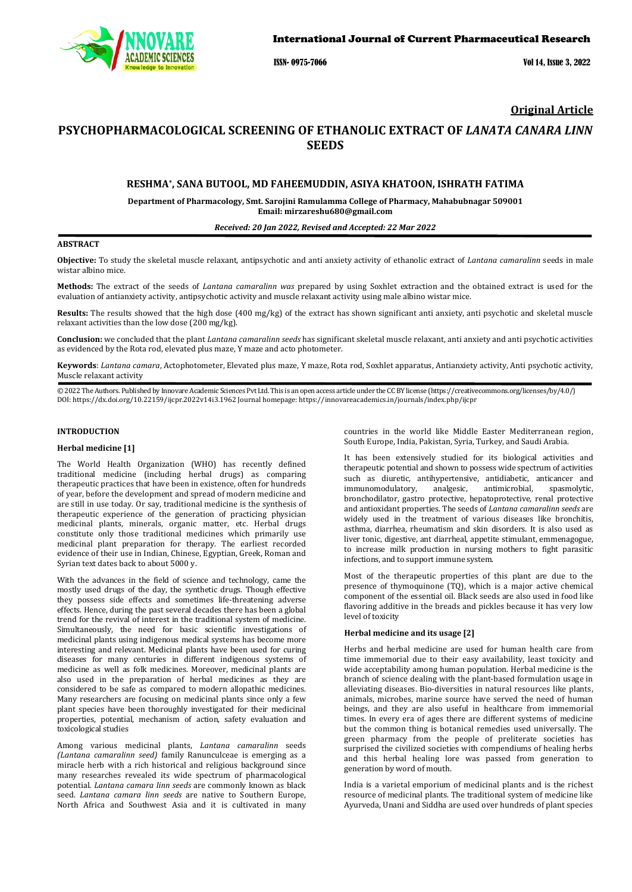

ISSN- 0975-7066 Vol 14, Issue 3, 2022

## **Original Article**

# **PSYCHOPHARMACOLOGICAL SCREENING OF ETHANOLIC EXTRACT OF** *LANATA CANARA LINN* **SEEDS**

### **RESHMA\*, SANA BUTOOL, MD FAHEEMUDDIN, ASIYA KHATOON, ISHRATH FATIMA**

**Department of Pharmacology, Smt. Sarojini Ramulamma College of Pharmacy, Mahabubnagar 509001 Email: mirzareshu680@gmail.com**

#### *Received: 20 Jan 2022, Revised and Accepted: 22 Mar 2022*

### **ABSTRACT**

**Objective:** To study the skeletal muscle relaxant, antipsychotic and anti anxiety activity of ethanolic extract of *Lantana camaralinn* seeds in male wistar albino mice.

**Methods:** The extract of the seeds of *Lantana camaralinn was* prepared by using Soxhlet extraction and the obtained extract is used for the evaluation of antianxiety activity, antipsychotic activity and muscle relaxant activity using male albino wistar mice.

**Results:** The results showed that the high dose (400 mg/kg) of the extract has shown significant anti anxiety, anti psychotic and skeletal muscle relaxant activities than the low dose (200 mg/kg).

**Conclusion:** we concluded that the plant *Lantana camaralinn seeds* has significant skeletal muscle relaxant, anti anxiety and anti psychotic activities as evidenced by the Rota rod, elevated plus maze, Y maze and acto photometer.

**Keywords**: *Lantana camara*, Actophotometer, Elevated plus maze, Y maze, Rota rod, Soxhlet apparatus, Antianxiety activity, Anti psychotic activity, Muscle relaxant activity

© 2022 The Authors. Published by Innovare Academic Sciences Pvt Ltd. This is an open access article under the CC BY license [\(https://creativecommons.org/licenses/by/4.0/\)](https://creativecommons.org/licenses/by/4.0/) DOI[: https://dx.doi.org/10.22159/ijcpr.2022v14i3.1](https://dx.doi.org/10.22159/ijcpr.2022v14i3)962 Journal homepage[: https://innovareacademics.in/journals/index.php/ijcpr](https://innovareacademics.in/journals/index.php/ijcpr)

#### **INTRODUCTION**

#### **Herbal medicine [1]**

The World Health Organization (WHO) has recently defined traditional medicine (including herbal drugs) as comparing therapeutic practices that have been in existence, often for hundreds of year, before the development and spread of modern medicine and are still in use today. Or say, traditional medicine is the synthesis of therapeutic experience of the generation of practicing physician medicinal plants, minerals, organic matter, etc. Herbal drugs constitute only those traditional medicines which primarily use medicinal plant preparation for therapy. The earliest recorded evidence of their use in Indian, Chinese, Egyptian, Greek, Roman and Syrian text dates back to about 5000 y.

With the advances in the field of science and technology, came the mostly used drugs of the day, the synthetic drugs. Though effective they possess side effects and sometimes life-threatening adverse effects. Hence, during the past several decades there has been a global trend for the revival of interest in the traditional system of medicine. Simultaneously, the need for basic scientific investigations of medicinal plants using indigenous medical systems has become more interesting and relevant. Medicinal plants have been used for curing diseases for many centuries in different indigenous systems of medicine as well as folk medicines. Moreover, medicinal plants are also used in the preparation of herbal medicines as they are considered to be safe as compared to modern allopathic medicines. Many researchers are focusing on medicinal plants since only a few plant species have been thoroughly investigated for their medicinal properties, potential, mechanism of action, safety evaluation and toxicological studies

Among various medicinal plants, *Lantana camaralinn* seeds *(Lantana camaralinn seed)* family Ranunculceae is emerging as a miracle herb with a rich historical and religious background since many researches revealed its wide spectrum of pharmacological potential. *Lantana camara linn seeds* are commonly known as black seed. *Lantana camara linn seeds* are native to Southern Europe, North Africa and Southwest Asia and it is cultivated in many countries in the world like Middle Easter Mediterranean region, South Europe, India, Pakistan, Syria, Turkey, and Saudi Arabia.

It has been extensively studied for its biological activities and therapeutic potential and shown to possess wide spectrum of activities such as diuretic, antihypertensive, antidiabetic, anticancer and<br>immunomodulatory, analgesic, antimicrobial, spasmolytic, immunomodulatory. bronchodilator, gastro protective, hepatoprotective, renal protective and antioxidant properties. The seeds of *Lantana camaralinn seeds* are widely used in the treatment of various diseases like bronchitis, asthma, diarrhea, rheumatism and skin disorders. It is also used as liver tonic, digestive, ant diarrheal, appetite stimulant, emmenagogue, to increase milk production in nursing mothers to fight parasitic infections, and to support immune system.

Most of the therapeutic properties of this plant are due to the presence of thymoquinone (TQ), which is a major active chemical component of the essential oil. Black seeds are also used in food like flavoring additive in the breads and pickles because it has very low level of toxicity

#### **Herbal medicine and its usage [2]**

Herbs and herbal medicine are used for human health care from time immemorial due to their easy availability, least toxicity and wide acceptability among human population. Herbal medicine is the branch of science dealing with the plant-based formulation usage in alleviating diseases. Bio-diversities in natural resources like plants, animals, microbes, marine source have served the need of human beings, and they are also useful in healthcare from immemorial times. In every era of ages there are different systems of medicine but the common thing is botanical remedies used universally. The green pharmacy from the people of preliterate societies has surprised the civilized societies with compendiums of healing herbs and this herbal healing lore was passed from generation to generation by word of mouth.

India is a varietal emporium of medicinal plants and is the richest resource of medicinal plants. The traditional system of medicine like Ayurveda, Unani and Siddha are used over hundreds of plant species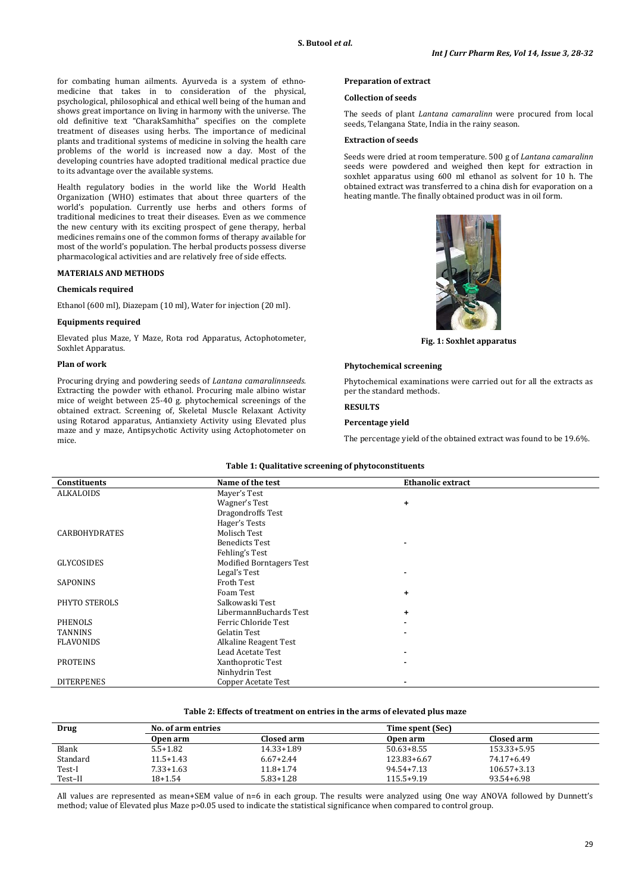for combating human ailments. Ayurveda is a system of ethnomedicine that takes in to consideration of the physical, psychological, philosophical and ethical well being of the human and shows great importance on living in harmony with the universe. The old definitive text "CharakSamhitha" specifies on the complete treatment of diseases using herbs. The importance of medicinal plants and traditional systems of medicine in solving the health care problems of the world is increased now a day. Most of the developing countries have adopted traditional medical practice due to its advantage over the available systems.

Health regulatory bodies in the world like the World Health Organization (WHO) estimates that about three quarters of the world's population. Currently use herbs and others forms of traditional medicines to treat their diseases. Even as we commence the new century with its exciting prospect of gene therapy, herbal medicines remains one of the common forms of therapy available for most of the world's population. The herbal products possess diverse pharmacological activities and are relatively free of side effects.

### **MATERIALS AND METHODS**

#### **Chemicals required**

Ethanol (600 ml), Diazepam (10 ml), Water for injection (20 ml).

#### **Equipments required**

Elevated plus Maze, Y Maze, Rota rod Apparatus, Actophotometer, Soxhlet Apparatus.

#### **Plan of work**

Procuring drying and powdering seeds of *Lantana camaralinnseeds.*  Extracting the powder with ethanol. Procuring male albino wistar mice of weight between 25-40 g. phytochemical screenings of the obtained extract. Screening of, Skeletal Muscle Relaxant Activity using Rotarod apparatus, Antianxiety Activity using Elevated plus maze and y maze, Antipsychotic Activity using Actophotometer on mice.

### **Preparation of extract**

#### **Collection of seeds**

The seeds of plant *Lantana camaralinn* were procured from local seeds, Telangana State, India in the rainy season.

#### **Extraction of seeds**

Seeds were dried at room temperature. 500 g of *Lantana camaralinn* seeds were powdered and weighed then kept for extraction in soxhlet apparatus using 600 ml ethanol as solvent for 10 h. The obtained extract was transferred to a china dish for evaporation on a heating mantle. The finally obtained product was in oil form.



**Fig. 1: Soxhlet apparatus**

#### **Phytochemical screening**

Phytochemical examinations were carried out for all the extracts as per the standard methods.

### **RESULTS**

### **Percentage yield**

The percentage yield of the obtained extract was found to be 19.6%.

| Constituents         | Name of the test                | <b>Ethanolic extract</b> |  |
|----------------------|---------------------------------|--------------------------|--|
| ALKALOIDS            | Mayer's Test                    |                          |  |
|                      | Wagner's Test                   | $\ddot{\phantom{1}}$     |  |
|                      | Dragondroffs Test               |                          |  |
|                      | Hager's Tests                   |                          |  |
| <b>CARBOHYDRATES</b> | Molisch Test                    |                          |  |
|                      | <b>Benedicts Test</b>           | $\blacksquare$           |  |
|                      | Fehling's Test                  |                          |  |
| <b>GLYCOSIDES</b>    | <b>Modified Borntagers Test</b> |                          |  |
|                      | Legal's Test                    | $\blacksquare$           |  |
| SAPONINS             | Froth Test                      |                          |  |
|                      | Foam Test                       | $\ddot{}$                |  |
| PHYTO STEROLS        | Salkowaski Test                 |                          |  |
|                      | LibermannBuchards Test          | $\ddot{\phantom{1}}$     |  |
| <b>PHENOLS</b>       | Ferric Chloride Test            | ٠                        |  |
| <b>TANNINS</b>       | Gelatin Test                    | $\blacksquare$           |  |
| <b>FLAVONIDS</b>     | Alkaline Reagent Test           |                          |  |
|                      | Lead Acetate Test               | ٠                        |  |
| <b>PROTEINS</b>      | Xanthoprotic Test               | $\blacksquare$           |  |
|                      | Ninhydrin Test                  |                          |  |
| <b>DITERPENES</b>    | Copper Acetate Test             |                          |  |

#### **Table 1: Qualitative screening of phytoconstituents**

### **Table 2: Effects of treatment on entries in the arms of elevated plus maze**

| Drug     | No. of arm entries |               | Time spent (Sec) |                 |  |  |
|----------|--------------------|---------------|------------------|-----------------|--|--|
|          | Open arm           | Closed arm    | Open arm         | Closed arm      |  |  |
| Blank    | $5.5 + 1.82$       | 14.33+1.89    | $50.63 + 8.55$   | 153.33+5.95     |  |  |
| Standard | $11.5 + 1.43$      | $6.67 + 2.44$ | 123.83+6.67      | 74.17+6.49      |  |  |
| Test-I   | $7.33 + 1.63$      | $11.8 + 1.74$ | 94.54+7.13       | $106.57 + 3.13$ |  |  |
| Test-II  | $18+1.54$          | $5.83 + 1.28$ | $115.5+9.19$     | 93.54+6.98      |  |  |

All values are represented as mean+SEM value of n=6 in each group. The results were analyzed using One way ANOVA followed by Dunnett's method; value of Elevated plus Maze p>0.05 used to indicate the statistical significance when compared to control group.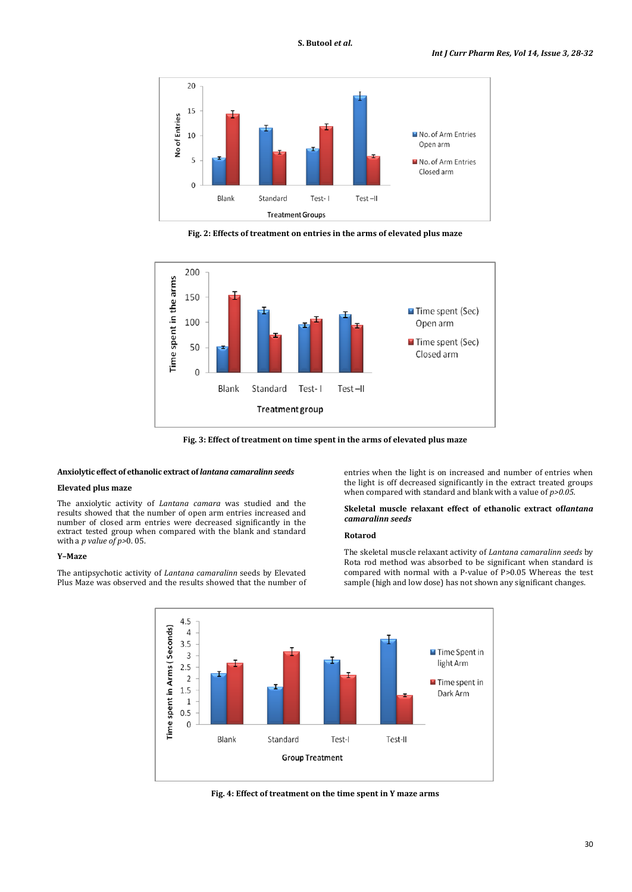

**Fig. 2: Effects of treatment on entries in the arms of elevated plus maze**



**Fig. 3: Effect of treatment on time spent in the arms of elevated plus maze**

#### **Anxiolytic effect of ethanolic extract of** *lantana camaralinn seeds*

### **Elevated plus maze**

The anxiolytic activity of *Lantana camara* was studied and the results showed that the number of open arm entries increased and number of closed arm entries were decreased significantly in the extract tested group when compared with the blank and standard with a *p value of p>*0. 05.

### **Y–Maze**

The antipsychotic activity of *Lantana camaralinn* seeds by Elevated Plus Maze was observed and the results showed that the number of

entries when the light is on increased and number of entries when the light is off decreased significantly in the extract treated groups when compared with standard and blank with a value of *p>0.05.*

### **Skeletal muscle relaxant effect of ethanolic extract of***lantana camaralinn seeds*

### **Rotarod**

The skeletal muscle relaxant activity of *Lantana camaralinn seeds* by Rota rod method was absorbed to be significant when standard is compared with normal with a P-value of P>0.05 Whereas the test sample (high and low dose) has not shown any significant changes.



**Fig. 4: Effect of treatment on the time spent in Y maze arms**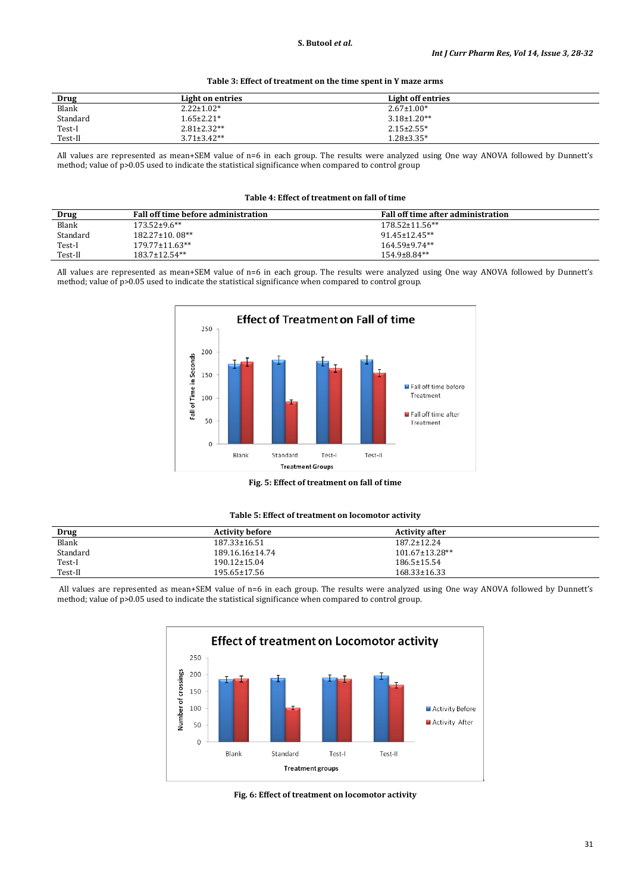| Drug     | Light on entries  | Light off entries |  |
|----------|-------------------|-------------------|--|
| Blank    | $2.22 \pm 1.02*$  | $2.67 \pm 1.00*$  |  |
| Standard | $1.65 \pm 2.21*$  | $3.18 \pm 1.20**$ |  |
| Test-I   | $2.81 \pm 2.32**$ | $2.15 \pm 2.55^*$ |  |
| Test-II  | $3.71 \pm 3.42**$ | $1.28 \pm 3.35^*$ |  |

### **Table 3: Effect of treatment on the time spent in Y maze arms**

All values are represented as mean+SEM value of n=6 in each group. The results were analyzed using One way ANOVA followed by Dunnett's method; value of p>0.05 used to indicate the statistical significance when compared to control group

**Table 4: Effect of treatment on fall of time**

| Drug     | <b>Fall off time before administration</b> | Fall off time after administration |
|----------|--------------------------------------------|------------------------------------|
| Blank    | $173.52 \pm 9.6$ **                        | $178.52 \pm 11.56$ **              |
| Standard | $182.27 \pm 10.08$ **                      | $91.45 \pm 12.45$ **               |
| Test-I   | $179.77 \pm 11.63$ **                      | $164.59 \pm 9.74$ **               |
| Test-II  | $183.7 \pm 12.54$ **                       | $154.9\pm8.84**$                   |

All values are represented as mean+SEM value of n=6 in each group. The results were analyzed using One way ANOVA followed by Dunnett's method; value of p>0.05 used to indicate the statistical significance when compared to control group.



**Fig. 5: Effect of treatment on fall of time**

|  |  | Table 5: Effect of treatment on locomotor activity |  |  |  |
|--|--|----------------------------------------------------|--|--|--|
|--|--|----------------------------------------------------|--|--|--|

| <b>Drug</b> | <b>Activity before</b> | <b>Activity after</b> |  |
|-------------|------------------------|-----------------------|--|
| Blank       | $187.33 \pm 16.51$     | $187.2 \pm 12.24$     |  |
| Standard    | 189.16.16±14.74        | $101.67 \pm 13.28$ ** |  |
| Test-I      | $190.12 \pm 15.04$     | $186.5 \pm 15.54$     |  |
| Test-II     | 195.65±17.56           | $168.33 \pm 16.33$    |  |

All values are represented as mean+SEM value of n=6 in each group. The results were analyzed using One way ANOVA followed by Dunnett's method; value of p>0.05 used to indicate the statistical significance when compared to control group.



**Fig. 6: Effect of treatment on locomotor activity**